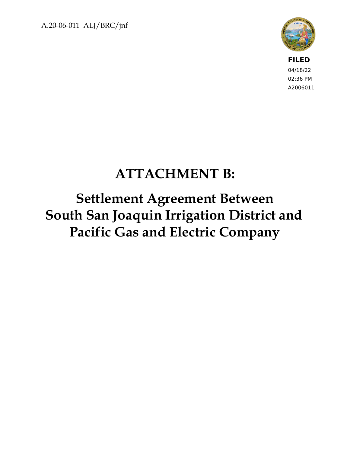A.20-06-011 ALJ/BRC/jnf



**FILED** 04/18/22 02:36 PM A2006011

# **ATTACHMENT B:**

**Settlement Agreement Between South San Joaquin Irrigation District and Pacific Gas and Electric Company**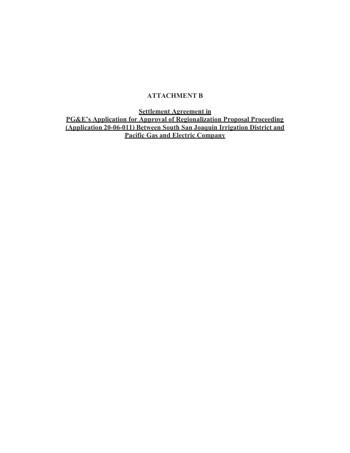#### **ATTACHMENT B**

**Settlement Agreement in**

**PG&E's Application for Approval of Regionalization Proposal Proceeding (Application 20-06-011) Between South San Joaquin Irrigation District and Pacific Gas and Electric Company**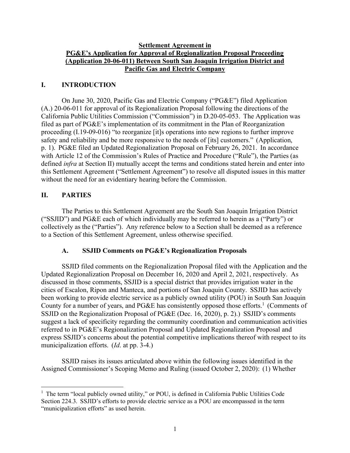#### **Settlement Agreement in PG&E's Application for Approval of Regionalization Proposal Proceeding (Application 20-06-011) Between South San Joaquin Irrigation District and Pacific Gas and Electric Company**

#### **I. INTRODUCTION**

On June 30, 2020, Pacific Gas and Electric Company ("PG&E") filed Application (A.) 20-06-011 for approval of its Regionalization Proposal following the directions of the California Public Utilities Commission ("Commission") in D.20-05-053. The Application was filed as part of PG&E's implementation of its commitment in the Plan of Reorganization proceeding (I.19-09-016) "to reorganize [it]s operations into new regions to further improve safety and reliability and be more responsive to the needs of [its] customers." (Application, p. 1). PG&E filed an Updated Regionalization Proposal on February 26, 2021. In accordance with Article 12 of the Commission's Rules of Practice and Procedure ("Rule"), the Parties (as defined *infra* at Section II) mutually accept the terms and conditions stated herein and enter into this Settlement Agreement ("Settlement Agreement") to resolve all disputed issues in this matter without the need for an evidentiary hearing before the Commission.

#### **II. PARTIES**

The Parties to this Settlement Agreement are the South San Joaquin Irrigation District ("SSJID") and PG&E each of which individually may be referred to herein as a ("Party") or collectively as the ("Parties"). Any reference below to a Section shall be deemed as a reference to a Section of this Settlement Agreement, unless otherwise specified.

#### **A. SSJID Comments on PG&E's Regionalization Proposals**

SSJID filed comments on the Regionalization Proposal filed with the Application and the Updated Regionalization Proposal on December 16, 2020 and April 2, 2021, respectively. As discussed in those comments, SSJID is a special district that provides irrigation water in the cities of Escalon, Ripon and Manteca, and portions of San Joaquin County. SSJID has actively been working to provide electric service as a publicly owned utility (POU) in South San Joaquin County for a number of years, and PG&E has consistently opposed those efforts.<sup>1</sup> (Comments of SSJID on the Regionalization Proposal of PG&E (Dec. 16, 2020), p. 2).) SSJID's comments suggest a lack of specificity regarding the community coordination and communication activities referred to in PG&E's Regionalization Proposal and Updated Regionalization Proposal and express SSJID's concerns about the potential competitive implications thereof with respect to its municipalization efforts. (*Id*. at pp. 3-4.)

SSJID raises its issues articulated above within the following issues identified in the Assigned Commissioner's Scoping Memo and Ruling (issued October 2, 2020): (1) Whether

 $<sup>1</sup>$  The term "local publicly owned utility," or POU, is defined in California Public Utilities Code</sup> Section 224.3. SSJID's efforts to provide electric service as a POU are encompassed in the term "municipalization efforts" as used herein.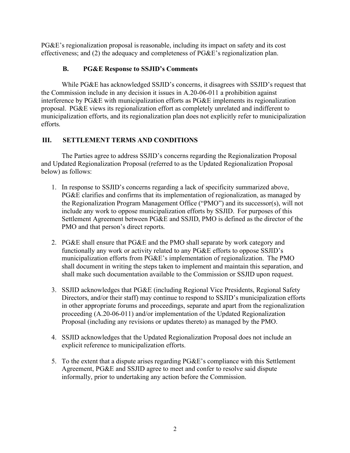PG&E's regionalization proposal is reasonable, including its impact on safety and its cost effectiveness; and (2) the adequacy and completeness of PG&E's regionalization plan.

#### **B. PG&E Response to SSJID's Comments**

While PG&E has acknowledged SSJID's concerns, it disagrees with SSJID's request that the Commission include in any decision it issues in A.20-06-011 a prohibition against interference by PG&E with municipalization efforts as PG&E implements its regionalization proposal. PG&E views its regionalization effort as completely unrelated and indifferent to municipalization efforts, and its regionalization plan does not explicitly refer to municipalization efforts.

### **III. SETTLEMENT TERMS AND CONDITIONS**

The Parties agree to address SSJID's concerns regarding the Regionalization Proposal and Updated Regionalization Proposal (referred to as the Updated Regionalization Proposal below) as follows:

- 1. In response to SSJID's concerns regarding a lack of specificity summarized above, PG&E clarifies and confirms that its implementation of regionalization, as managed by the Regionalization Program Management Office ("PMO") and its successor(s), will not include any work to oppose municipalization efforts by SSJID. For purposes of this Settlement Agreement between PG&E and SSJID, PMO is defined as the director of the PMO and that person's direct reports.
- 2. PG&E shall ensure that PG&E and the PMO shall separate by work category and functionally any work or activity related to any PG&E efforts to oppose SSJID's municipalization efforts from PG&E's implementation of regionalization. The PMO shall document in writing the steps taken to implement and maintain this separation, and shall make such documentation available to the Commission or SSJID upon request.
- 3. SSJID acknowledges that PG&E (including Regional Vice Presidents, Regional Safety Directors, and/or their staff) may continue to respond to SSJID's municipalization efforts in other appropriate forums and proceedings, separate and apart from the regionalization proceeding (A.20-06-011) and/or implementation of the Updated Regionalization Proposal (including any revisions or updates thereto) as managed by the PMO.
- 4. SSJID acknowledges that the Updated Regionalization Proposal does not include an explicit reference to municipalization efforts.
- 5. To the extent that a dispute arises regarding PG&E's compliance with this Settlement Agreement, PG&E and SSJID agree to meet and confer to resolve said dispute informally, prior to undertaking any action before the Commission.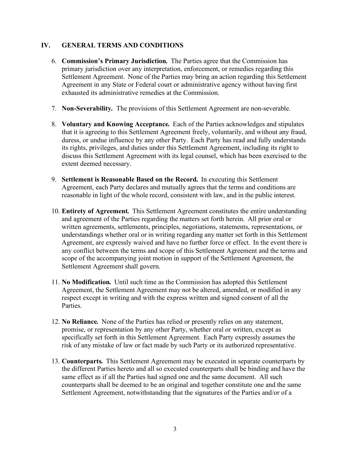#### **IV. GENERAL TERMS AND CONDITIONS**

- 6. **Commission's Primary Jurisdiction***.* The Parties agree that the Commission has primary jurisdiction over any interpretation, enforcement, or remedies regarding this Settlement Agreement. None of the Parties may bring an action regarding this Settlement Agreement in any State or Federal court or administrative agency without having first exhausted its administrative remedies at the Commission.
- 7. **Non-Severability***.* The provisions of this Settlement Agreement are non-severable.
- 8. **Voluntary and Knowing Acceptance***.* Each of the Parties acknowledges and stipulates that it is agreeing to this Settlement Agreement freely, voluntarily, and without any fraud, duress, or undue influence by any other Party. Each Party has read and fully understands its rights, privileges, and duties under this Settlement Agreement, including its right to discuss this Settlement Agreement with its legal counsel, which has been exercised to the extent deemed necessary.
- 9. **Settlement is Reasonable Based on the Record***.* In executing this Settlement Agreement, each Party declares and mutually agrees that the terms and conditions are reasonable in light of the whole record, consistent with law, and in the public interest.
- 10. **Entirety of Agreement***.* This Settlement Agreement constitutes the entire understanding and agreement of the Parties regarding the matters set forth herein. All prior oral or written agreements, settlements, principles, negotiations, statements, representations, or understandings whether oral or in writing regarding any matter set forth in this Settlement Agreement, are expressly waived and have no further force or effect. In the event there is any conflict between the terms and scope of this Settlement Agreement and the terms and scope of the accompanying joint motion in support of the Settlement Agreement, the Settlement Agreement shall govern.
- 11. **No Modification***.* Until such time as the Commission has adopted this Settlement Agreement, the Settlement Agreement may not be altered, amended, or modified in any respect except in writing and with the express written and signed consent of all the Parties.
- 12. **No Reliance***.* None of the Parties has relied or presently relies on any statement, promise, or representation by any other Party, whether oral or written, except as specifically set forth in this Settlement Agreement. Each Party expressly assumes the risk of any mistake of law or fact made by such Party or its authorized representative.
- 13. **Counterparts***.* This Settlement Agreement may be executed in separate counterparts by the different Parties hereto and all so executed counterparts shall be binding and have the same effect as if all the Parties had signed one and the same document. All such counterparts shall be deemed to be an original and together constitute one and the same Settlement Agreement, notwithstanding that the signatures of the Parties and/or of a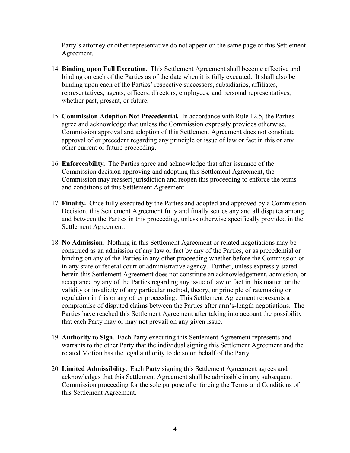Party's attorney or other representative do not appear on the same page of this Settlement Agreement.

- 14. **Binding upon Full Execution***.* This Settlement Agreement shall become effective and binding on each of the Parties as of the date when it is fully executed. It shall also be binding upon each of the Parties' respective successors, subsidiaries, affiliates, representatives, agents, officers, directors, employees, and personal representatives, whether past, present, or future.
- 15. **Commission Adoption Not Precedential***.* In accordance with Rule 12.5, the Parties agree and acknowledge that unless the Commission expressly provides otherwise, Commission approval and adoption of this Settlement Agreement does not constitute approval of or precedent regarding any principle or issue of law or fact in this or any other current or future proceeding.
- 16. **Enforceability***.* The Parties agree and acknowledge that after issuance of the Commission decision approving and adopting this Settlement Agreement, the Commission may reassert jurisdiction and reopen this proceeding to enforce the terms and conditions of this Settlement Agreement.
- 17. **Finality***.* Once fully executed by the Parties and adopted and approved by a Commission Decision, this Settlement Agreement fully and finally settles any and all disputes among and between the Parties in this proceeding, unless otherwise specifically provided in the Settlement Agreement.
- 18. **No Admission***.* Nothing in this Settlement Agreement or related negotiations may be construed as an admission of any law or fact by any of the Parties, or as precedential or binding on any of the Parties in any other proceeding whether before the Commission or in any state or federal court or administrative agency. Further, unless expressly stated herein this Settlement Agreement does not constitute an acknowledgement, admission, or acceptance by any of the Parties regarding any issue of law or fact in this matter, or the validity or invalidity of any particular method, theory, or principle of ratemaking or regulation in this or any other proceeding. This Settlement Agreement represents a compromise of disputed claims between the Parties after arm's-length negotiations. The Parties have reached this Settlement Agreement after taking into account the possibility that each Party may or may not prevail on any given issue.
- 19. **Authority to Sign***.* Each Party executing this Settlement Agreement represents and warrants to the other Party that the individual signing this Settlement Agreement and the related Motion has the legal authority to do so on behalf of the Party.
- 20. **Limited Admissibility***.* Each Party signing this Settlement Agreement agrees and acknowledges that this Settlement Agreement shall be admissible in any subsequent Commission proceeding for the sole purpose of enforcing the Terms and Conditions of this Settlement Agreement.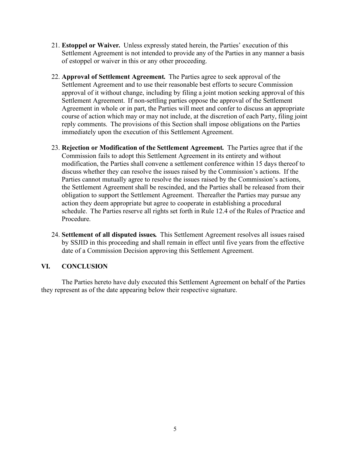- 21. **Estoppel or Waiver***.* Unless expressly stated herein, the Parties' execution of this Settlement Agreement is not intended to provide any of the Parties in any manner a basis of estoppel or waiver in this or any other proceeding.
- 22. **Approval of Settlement Agreement***.* The Parties agree to seek approval of the Settlement Agreement and to use their reasonable best efforts to secure Commission approval of it without change, including by filing a joint motion seeking approval of this Settlement Agreement. If non-settling parties oppose the approval of the Settlement Agreement in whole or in part, the Parties will meet and confer to discuss an appropriate course of action which may or may not include, at the discretion of each Party, filing joint reply comments. The provisions of this Section shall impose obligations on the Parties immediately upon the execution of this Settlement Agreement.
- 23. **Rejection or Modification of the Settlement Agreement***.* The Parties agree that if the Commission fails to adopt this Settlement Agreement in its entirety and without modification, the Parties shall convene a settlement conference within 15 days thereof to discuss whether they can resolve the issues raised by the Commission's actions. If the Parties cannot mutually agree to resolve the issues raised by the Commission's actions, the Settlement Agreement shall be rescinded, and the Parties shall be released from their obligation to support the Settlement Agreement. Thereafter the Parties may pursue any action they deem appropriate but agree to cooperate in establishing a procedural schedule. The Parties reserve all rights set forth in Rule 12.4 of the Rules of Practice and Procedure.
- 24. **Settlement of all disputed issues***.* This Settlement Agreement resolves all issues raised by SSJID in this proceeding and shall remain in effect until five years from the effective date of a Commission Decision approving this Settlement Agreement.

#### **VI. CONCLUSION**

The Parties hereto have duly executed this Settlement Agreement on behalf of the Parties they represent as of the date appearing below their respective signature.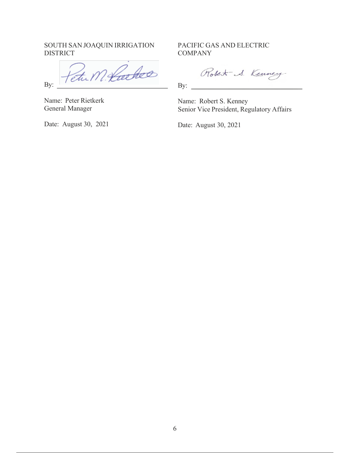SOUTH SAN JOAQUIN IRRIGATION DISTRICT

Etu M. Locke

Name: Peter Rietkerk General Manager

By:

Date: August 30, 2021

PACIFIC GAS AND ELECTRIC **COMPANY** 

Robert S. Kenney

By:

Name: Robert S. Kenney Senior Vice President, Regulatory Affairs

Date: August 30, 2021